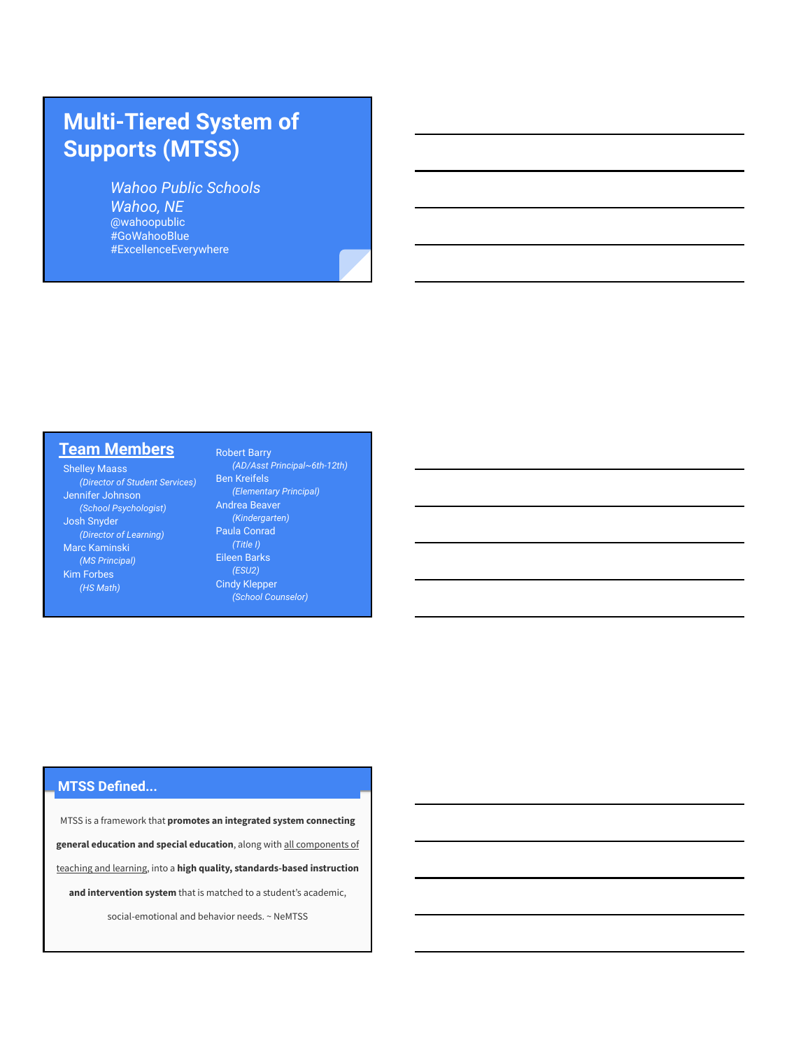## **Multi-Tiered System of Supports (MTSS)**

*Wahoo Public Schools Wahoo, NE* @wahoopublic #GoWahooBlue #ExcellenceEverywhere

### **Team Members**

Shelley Maass *(Director of Student Services)* Jennifer Johnson *(School Psychologist)* Josh Snyder *(Director of Learning)* Marc Kaminski *(MS Principal)* Kim Forbes *(HS Math)*

#### Robert Barry *(AD/Asst Principal~6th-12th)* Ben Kreifels

*(Elementary Principal)* Andrea Beaver *(Kindergarten)* Paula Conrad Eileen Barks *(ESU2)* Cindy Klepper

#### **MTSS Defined...**

MTSS is a framework that **promotes an integrated system connecting general education and special education**, along with all components of teaching and learning, into a **high quality, standards-based instruction and intervention system** that is matched to a student's academic, social-emotional and behavior needs. ~ NeMTSS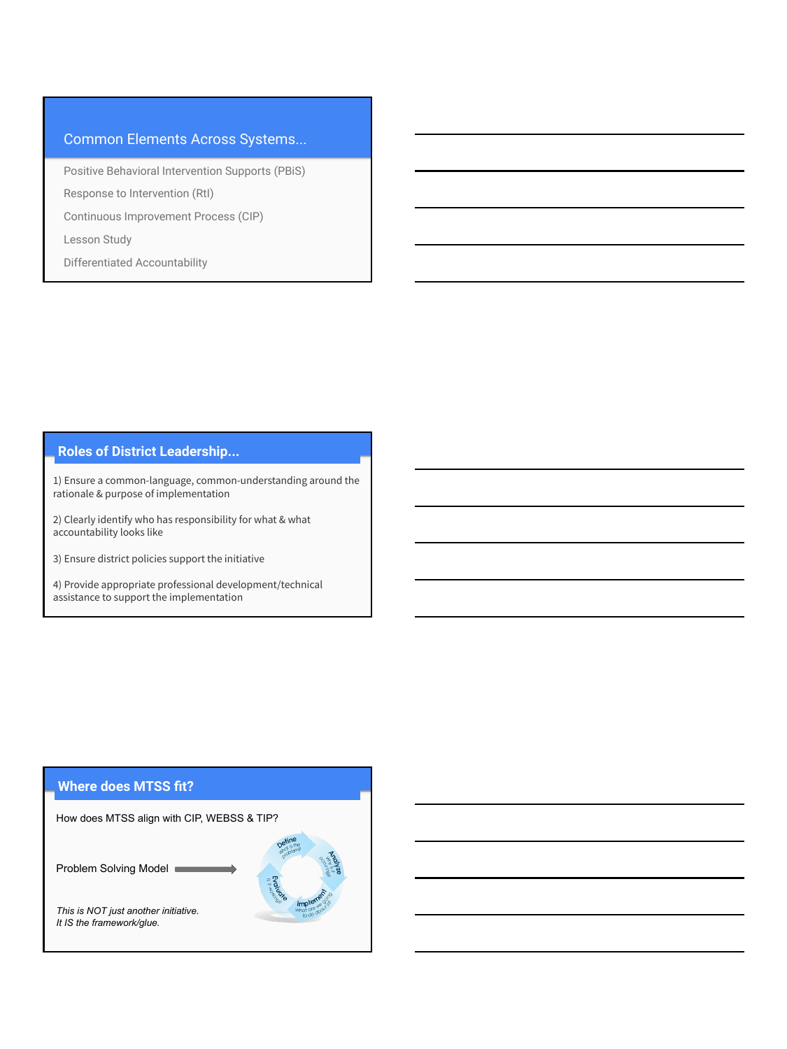#### Common Elements Across Systems...

Positive Behavioral Intervention Supports (PBiS)

Response to Intervention (RtI)

Continuous Improvement Process (CIP)

Lesson Study

Differentiated Accountability

#### **Roles of District Leadership...**

1) Ensure a common-language, common-understanding around the rationale & purpose of implementation

2) Clearly identify who has responsibility for what & what accountability looks like

3) Ensure district policies support the initiative

4) Provide appropriate professional development/technical assistance to support the implementation

#### **Where does MTSS fit?**

How does MTSS align with CIP, WEBSS & TIP?

Problem Solving Model

*This is NOT just another initiative. It IS the framework/glue.*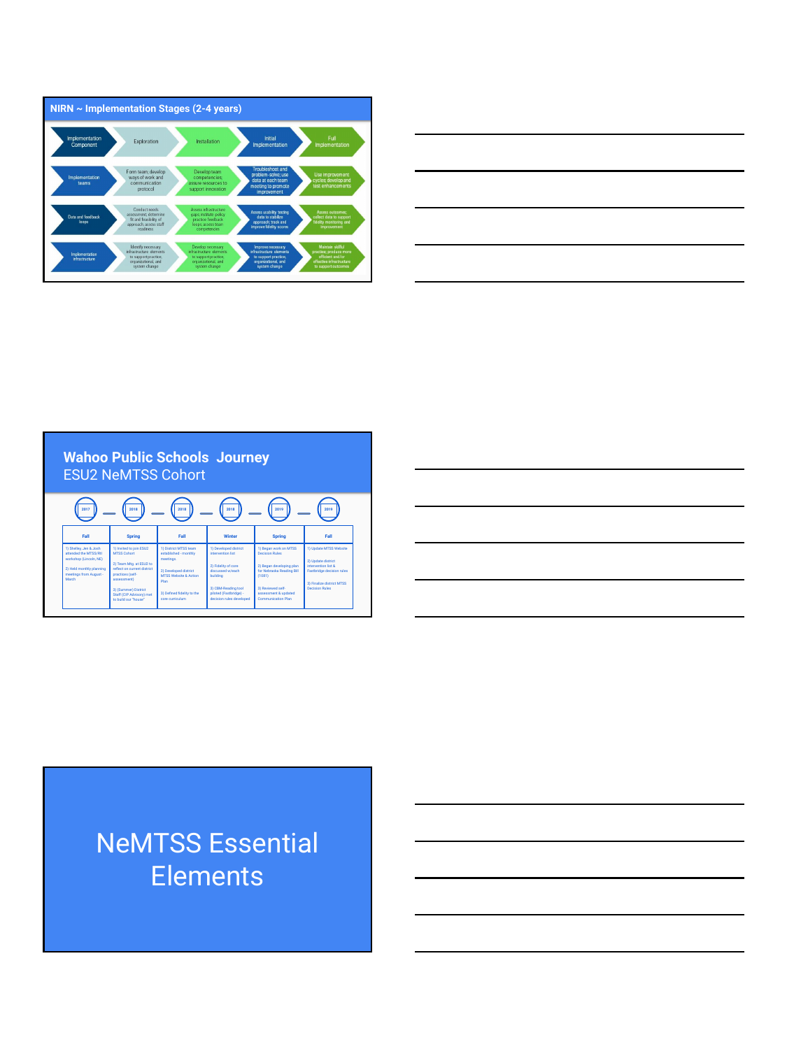



#### **Wahoo Public Schools Journey** ESU2 NeMTSS Cohort **2017 Fall** 1) Shelley, Jen & Josh attended the MTSS/RtI workshop (Lincoln, NE) 2) Held monthly planning<br>meetings from August -<br>March **Spring** 1) Invited to join ESU2 MTSS Cohort 2) Team Mtg. at ESU2 to reflect on current district practices (self- assessment) 3) (Summer) District<br>Staff (CIP Advisory) met to build our "house" **2018 Fall** 1) District MTSS team established - monthly meetings. 2) Developed district<br>MTSS Website & Action<br>Plan 3) Defined fidelity to the<br>core curriculum **2018 Winter** 1) Developed district intervention list 2) Fidelity of core discussed w/each building 3) CBM-Reading tool piloted (Fastbridge) - decision rules<br>decision rules developed **2018 2019 Spring** 1) Began work on MTSS Decision Rules 2) Began developing plan for Nebraska Reading Bill (1081) 3) Reviewed self-<br>assessment & updated<br>Communication Plan **Fall** 1) Update MTSS Website 2) Update district intervention list & Fastbridge decision rules 3) Finalize district MTSS Decision Rules **2019**



# NeMTSS Essential **Elements**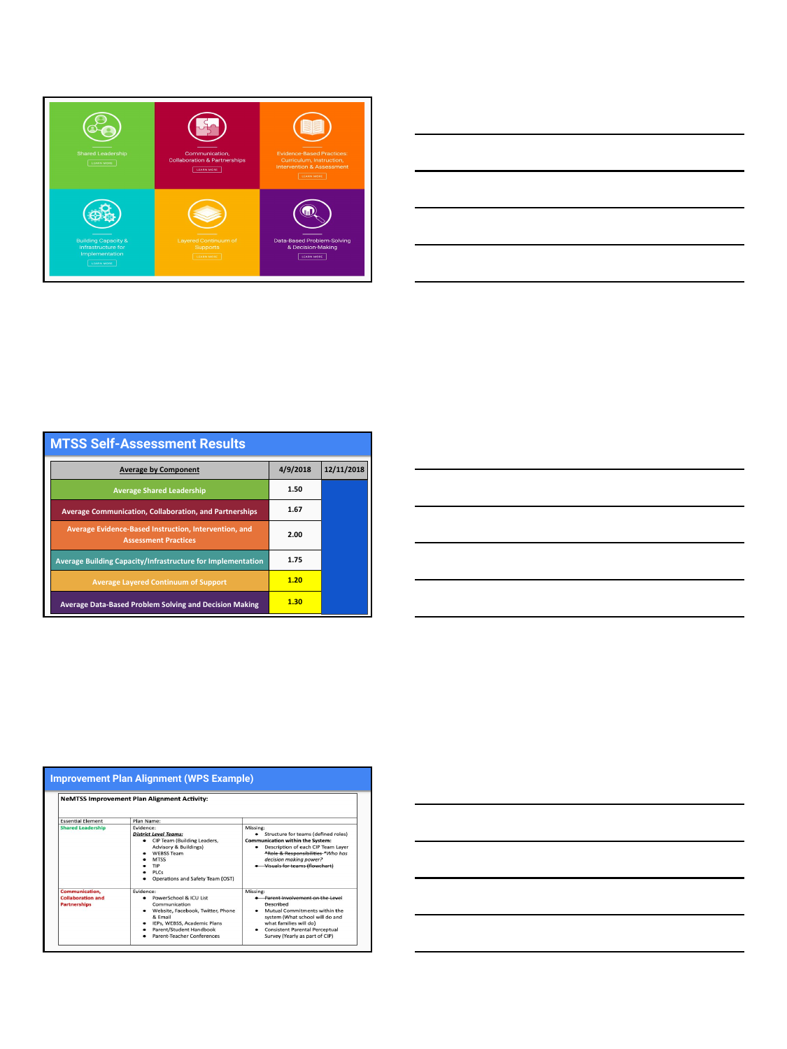



| <b>MTSS Self-Assessment Results</b>                                                  |          |            |  |  |
|--------------------------------------------------------------------------------------|----------|------------|--|--|
| <b>Average by Component</b>                                                          | 4/9/2018 | 12/11/2018 |  |  |
| <b>Average Shared Leadership</b>                                                     | 1.50     |            |  |  |
| <b>Average Communication, Collaboration, and Partnerships</b>                        | 1.67     |            |  |  |
| Average Evidence-Based Instruction, Intervention, and<br><b>Assessment Practices</b> | 2.00     |            |  |  |
| <b>Average Building Capacity/Infrastructure for Implementation</b>                   | 1.75     |            |  |  |
| <b>Average Layered Continuum of Support</b>                                          | 1.20     |            |  |  |
| <b>Average Data-Based Problem Solving and Decision Making</b>                        | 1.30     |            |  |  |

|                                                                   | <b>NeMTSS Improvement Plan Alignment Activity:</b>                                                                                                                                                         |                                                                                                                                                                                                                                                      |
|-------------------------------------------------------------------|------------------------------------------------------------------------------------------------------------------------------------------------------------------------------------------------------------|------------------------------------------------------------------------------------------------------------------------------------------------------------------------------------------------------------------------------------------------------|
| <b>Essential Element</b>                                          | Plan Name:                                                                                                                                                                                                 |                                                                                                                                                                                                                                                      |
| <b>Shared Leadership</b>                                          | Evidence:<br><b>District Level Teams:</b><br>CIP Team (Building Leaders,<br><b>Advisory &amp; Buildings)</b><br><b>WEBSS Team</b><br><b>MTSS</b><br><b>TIP</b><br>PICS<br>Operations and Safety Team (OST) | Missing:<br>Structure for teams (defined roles)<br>$\bullet$<br><b>Communication within the System:</b><br>Description of each CIP Team Laver<br>٠<br>*Role & Responsibilities *Who has<br>decision making power?<br>• Visuals for teams (flowchart) |
| Communication,<br><b>Collaboration and</b><br><b>Partnerships</b> | Fvidence:<br>PowerSchool & ICU List<br>Communication<br>Website, Facebook, Twitter, Phone<br>۰<br>& Email<br>IEPs. WEBSS, Academic Plans<br>٠<br>Parent/Student Handbook<br>Parent-Teacher Conferences     | Missing:<br><b>e</b> Parent involvement on the Level<br><b>Described</b><br>Mutual Commitments within the<br>system (What school will do and<br>what families will do)<br>• Consistent Parental Perceptual<br>Survey (Yearly as part of CIP)         |

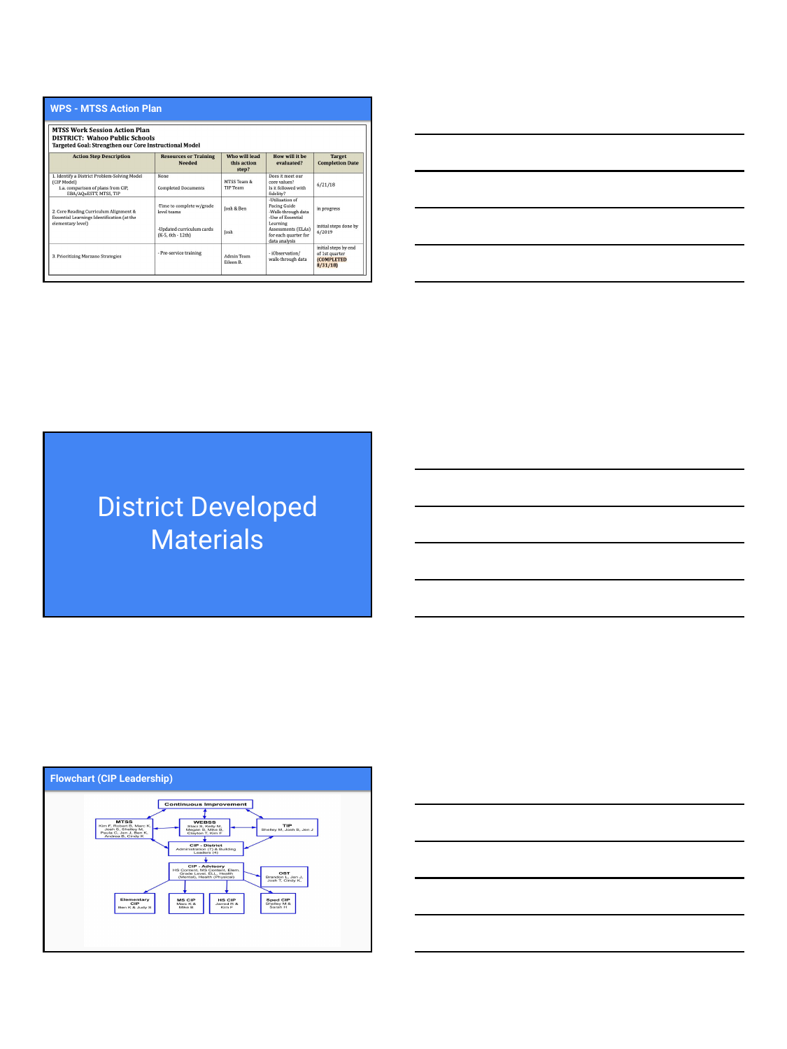| <b>MTSS Work Session Action Plan</b><br><b>DISTRICT: Wahoo Public Schools</b><br>Targeted Goal: Strengthen our Core Instructional Model |                                                |                                       |                                                                              |                                                                         |  |  |
|-----------------------------------------------------------------------------------------------------------------------------------------|------------------------------------------------|---------------------------------------|------------------------------------------------------------------------------|-------------------------------------------------------------------------|--|--|
| <b>Action Step Description</b>                                                                                                          | <b>Resources or Training</b><br><b>Needed</b>  | Who will lead<br>this action<br>step? | How will it he<br>evaluated?                                                 | <b>Target</b><br><b>Completion Date</b>                                 |  |  |
| 1. Identify a District Problem-Solving Model<br>(CIP Model)<br>1.a. comparison of plans from CIP.<br>EBA/AOuESTT. MTSS. TIP             | None<br><b>Completed Documents</b>             | MTSS Team &<br>TIP Team               | Does it meet our<br>core values?<br>Is it followed with<br>fidelity?         | 6/21/18                                                                 |  |  |
| 2. Core Reading Curriculum Alignment &<br>Essential Learnings Identification (at the                                                    | -Time to complete w/grade<br>level teams       | losh & Ben                            | -Iltilization of<br>Pacing Guide<br>-Walk-through data<br>-Ilse of Essential | in progress                                                             |  |  |
| elementary level)                                                                                                                       | -Updated curriculum cards<br>(K-5, 6th - 12th) | losh                                  | Learning<br>Assessments (ELAs)<br>for each quarter for<br>data analysis      | initial steps done by<br>6/2019                                         |  |  |
| 3. Prioritizing Marzano Strategies                                                                                                      | - Pre-service training                         | Admin Team<br>Eileen B.               | -iObservation/<br>walk-through data                                          | initial steps by end<br>of 1st quarter<br><b>(COMPLETED)</b><br>8/31/18 |  |  |



District Developed **Materials** 



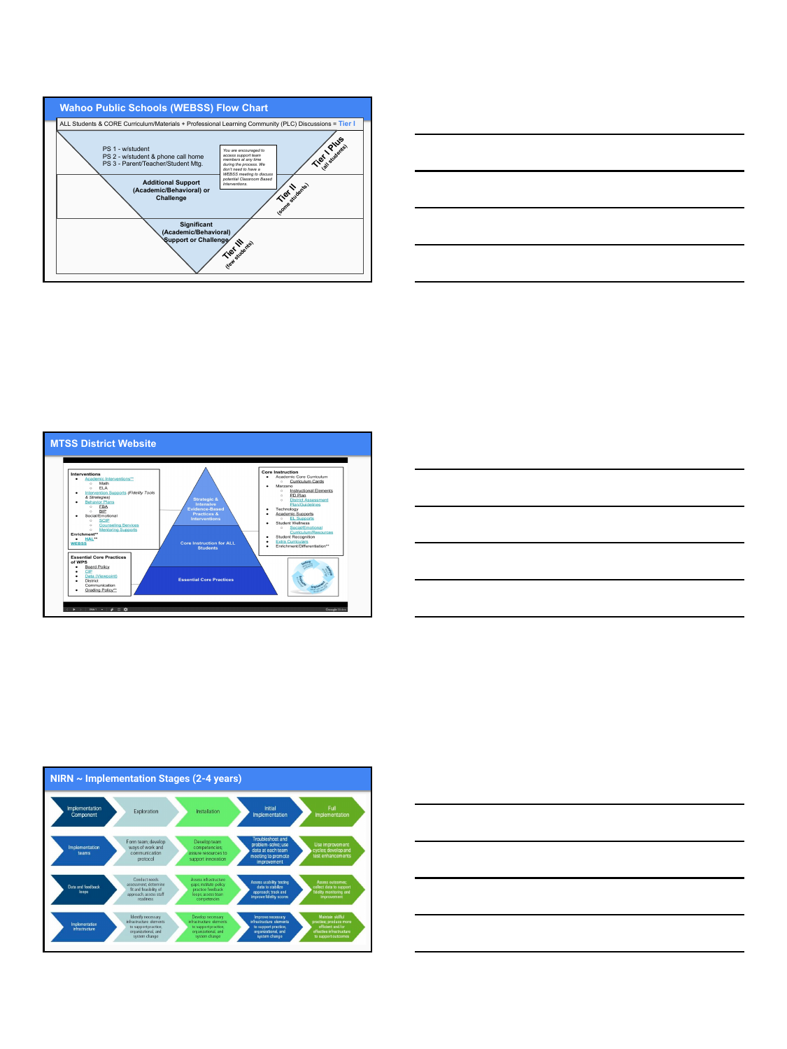